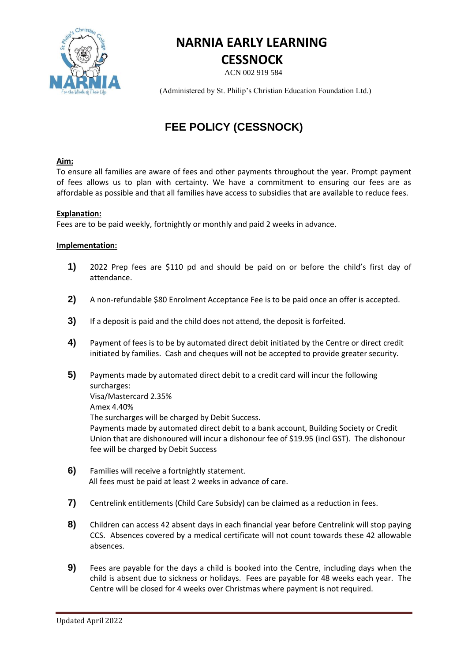

# **NARNIA EARLY LEARNING CESSNOCK**

ACN 002 919 584

(Administered by St. Philip's Christian Education Foundation Ltd.)

# **FEE POLICY (CESSNOCK)**

## **Aim:**

To ensure all families are aware of fees and other payments throughout the year. Prompt payment of fees allows us to plan with certainty. We have a commitment to ensuring our fees are as affordable as possible and that all families have access to subsidies that are available to reduce fees.

### **Explanation:**

Fees are to be paid weekly, fortnightly or monthly and paid 2 weeks in advance.

### **Implementation:**

- **1)** 2022 Prep fees are \$110 pd and should be paid on or before the child's first day of attendance.
- **2)** A non-refundable \$80 Enrolment Acceptance Fee is to be paid once an offer is accepted.
- **3)** If a deposit is paid and the child does not attend, the deposit is forfeited.
- **4)** Payment of fees is to be by automated direct debit initiated by the Centre or direct credit initiated by families. Cash and cheques will not be accepted to provide greater security.
- **5)** Payments made by automated direct debit to a credit card will incur the following surcharges: Visa/Mastercard 2.35% Amex 4.40% The surcharges will be charged by Debit Success. Payments made by automated direct debit to a bank account, Building Society or Credit Union that are dishonoured will incur a dishonour fee of \$19.95 (incl GST). The dishonour fee will be charged by Debit Success
- **6)** Families will receive a fortnightly statement. All fees must be paid at least 2 weeks in advance of care.
- **7)** Centrelink entitlements (Child Care Subsidy) can be claimed as a reduction in fees.
- **8)** Children can access 42 absent days in each financial year before Centrelink will stop paying CCS. Absences covered by a medical certificate will not count towards these 42 allowable absences.
- **9)** Fees are payable for the days a child is booked into the Centre, including days when the child is absent due to sickness or holidays. Fees are payable for 48 weeks each year. The Centre will be closed for 4 weeks over Christmas where payment is not required.